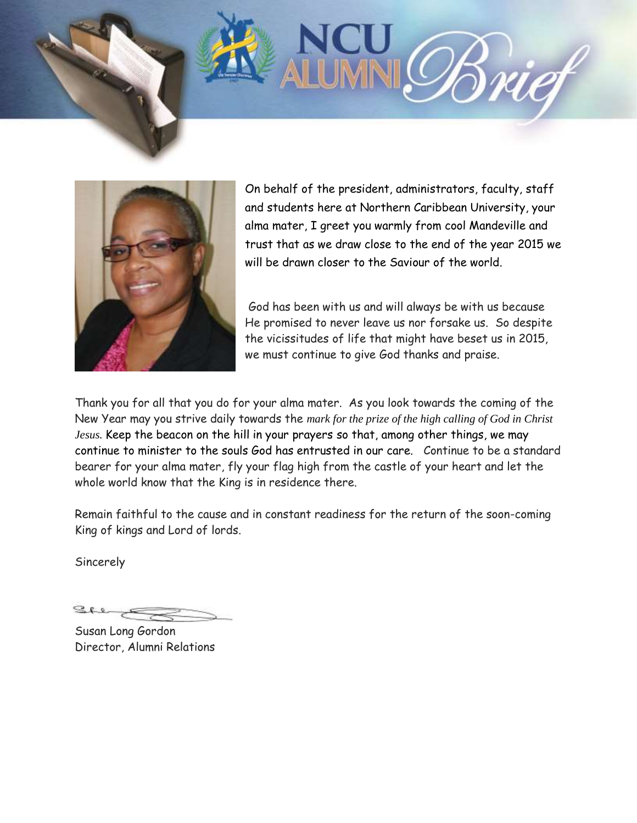



On behalf of the president, administrators, faculty, staff and students here at Northern Caribbean University, your alma mater, I greet you warmly from cool Mandeville and trust that as we draw close to the end of the year 2015 we will be drawn closer to the Saviour of the world.

God has been with us and will always be with us because He promised to never leave us nor forsake us. So despite the vicissitudes of life that might have beset us in 2015, we must continue to give God thanks and praise.

Thank you for all that you do for your alma mater. As you look towards the coming of the New Year may you strive daily towards the *mark for the prize of the high calling of God in Christ Jesus.* Keep the beacon on the hill in your prayers so that, among other things, we may continue to minister to the souls God has entrusted in our care. Continue to be a standard bearer for your alma mater, fly your flag high from the castle of your heart and let the whole world know that the King is in residence there.

Remain faithful to the cause and in constant readiness for the return of the soon-coming King of kings and Lord of lords.

**Sincerely** 

 $280$ 

Susan Long Gordon Director, Alumni Relations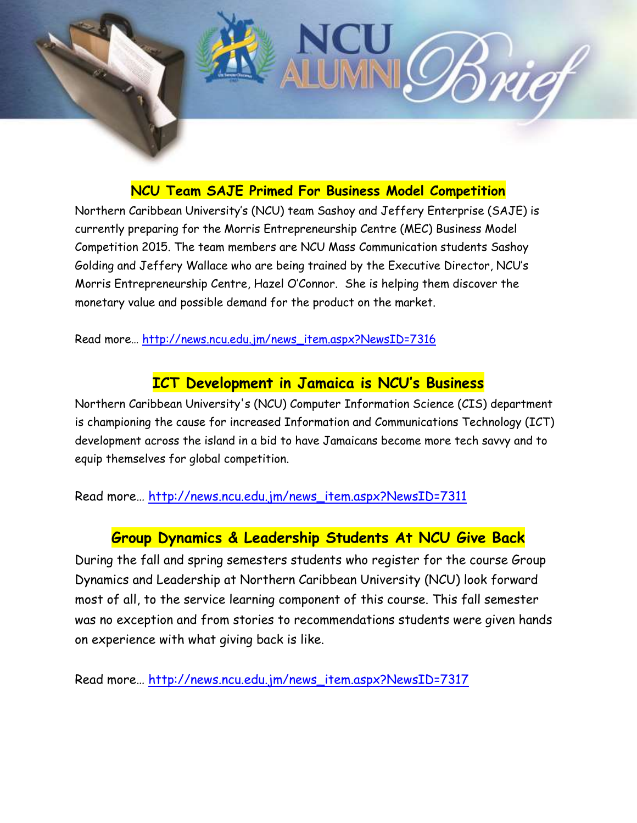

## **NCU Team SAJE Primed For Business Model Competition**

Northern Caribbean University's (NCU) team Sashoy and Jeffery Enterprise (SAJE) is currently preparing for the Morris Entrepreneurship Centre (MEC) Business Model Competition 2015. The team members are NCU Mass Communication students Sashoy Golding and Jeffery Wallace who are being trained by the Executive Director, NCU's Morris Entrepreneurship Centre, Hazel O'Connor. She is helping them discover the monetary value and possible demand for the product on the market.

Read more… [http://news.ncu.edu.jm/news\\_item.aspx?NewsID=7316](http://news.ncu.edu.jm/news_item.aspx?NewsID=7316)

## **ICT Development in Jamaica is NCU's Business**

Northern Caribbean University's (NCU) Computer Information Science (CIS) department is championing the cause for increased Information and Communications Technology (ICT) development across the island in a bid to have Jamaicans become more tech savvy and to equip themselves for global competition.

Read more… [http://news.ncu.edu.jm/news\\_item.aspx?NewsID=7311](http://news.ncu.edu.jm/news_item.aspx?NewsID=7311)

## **Group Dynamics & Leadership Students At NCU Give Back**

During the fall and spring semesters students who register for the course Group Dynamics and Leadership at Northern Caribbean University (NCU) look forward most of all, to the service learning component of this course. This fall semester was no exception and from stories to recommendations students were given hands on experience with what giving back is like.

Read more… [http://news.ncu.edu.jm/news\\_item.aspx?NewsID=7317](http://news.ncu.edu.jm/news_item.aspx?NewsID=7317)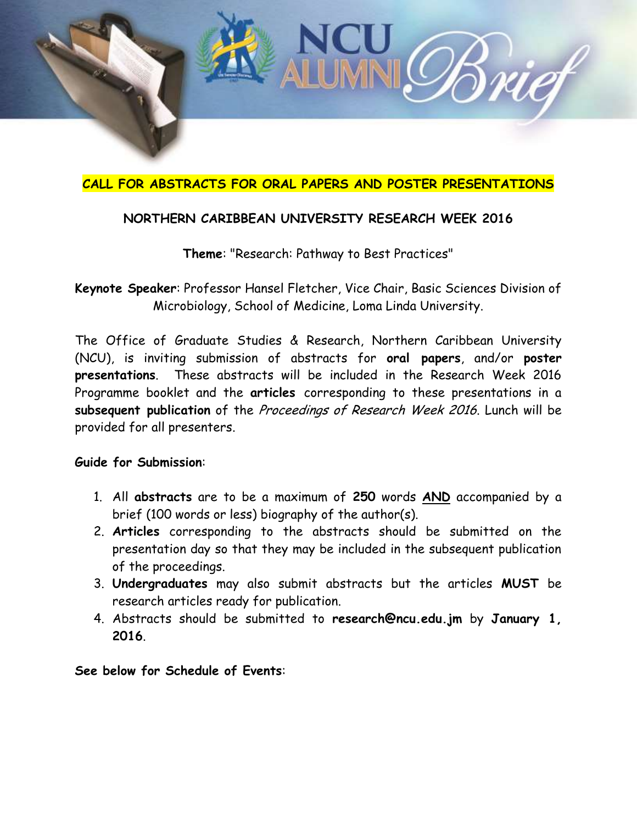

## **CALL FOR ABSTRACTS FOR ORAL PAPERS AND POSTER PRESENTATIONS**

### **NORTHERN CARIBBEAN UNIVERSITY RESEARCH WEEK 2016**

**Theme**: "Research: Pathway to Best Practices"

**Keynote Speaker**: Professor Hansel Fletcher, Vice Chair, Basic Sciences Division of Microbiology, School of Medicine, Loma Linda University.

The Office of Graduate Studies & Research, Northern Caribbean University (NCU), is inviting submission of abstracts for **oral papers**, and/or **poster presentations**. These abstracts will be included in the Research Week 2016 Programme booklet and the **articles** corresponding to these presentations in a **subsequent publication** of the Proceedings of Research Week 2016. Lunch will be provided for all presenters.

#### **Guide for Submission**:

- 1. All **abstracts** are to be a maximum of **250** words **AND** accompanied by a brief (100 words or less) biography of the author(s).
- 2. **Articles** corresponding to the abstracts should be submitted on the presentation day so that they may be included in the subsequent publication of the proceedings.
- 3. **Undergraduates** may also submit abstracts but the articles **MUST** be research articles ready for publication.
- 4. Abstracts should be submitted to **research@ncu.edu.jm** by **January 1, 2016**.

**See below for Schedule of Events**: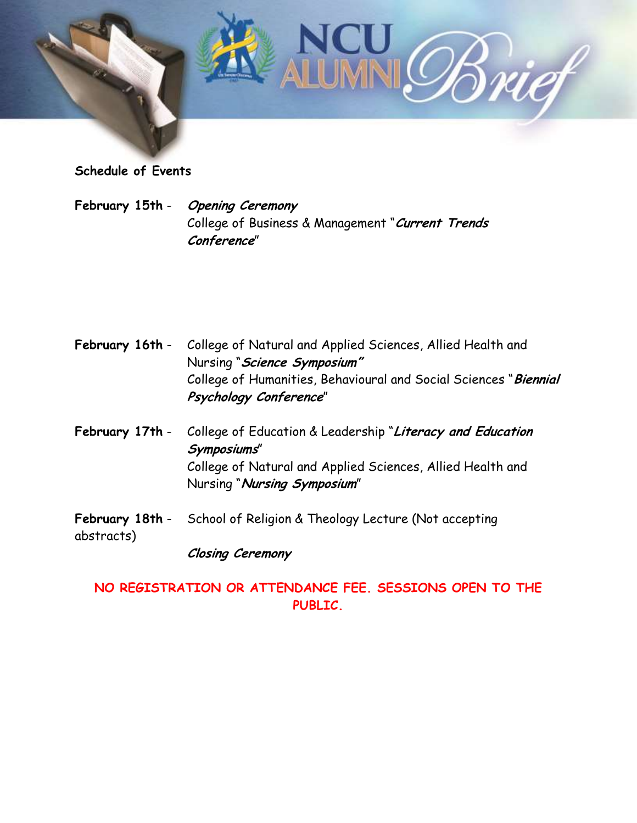

**Schedule of Events**

**February 15th** - **Opening Ceremony** College of Business & Management "**Current Trends Conference**"

| February 16th -               | College of Natural and Applied Sciences, Allied Health and<br>Nursing "Science Symposium"  |
|-------------------------------|--------------------------------------------------------------------------------------------|
|                               | College of Humanities, Behavioural and Social Sciences "Biennial<br>Psychology Conference" |
| February 17th -               | College of Education & Leadership "Literacy and Education<br>Symposiums"                   |
|                               | College of Natural and Applied Sciences, Allied Health and<br>Nursing "Nursing Symposium"  |
| February 18th -<br>abstracts) | School of Religion & Theology Lecture (Not accepting                                       |
|                               | <b>Closing Ceremony</b>                                                                    |
|                               | AR ATTENDADE ALI<br>APAARALIA ARPI                                                         |

## **NO REGISTRATION OR ATTENDANCE FEE. SESSIONS OPEN TO THE PUBLIC.**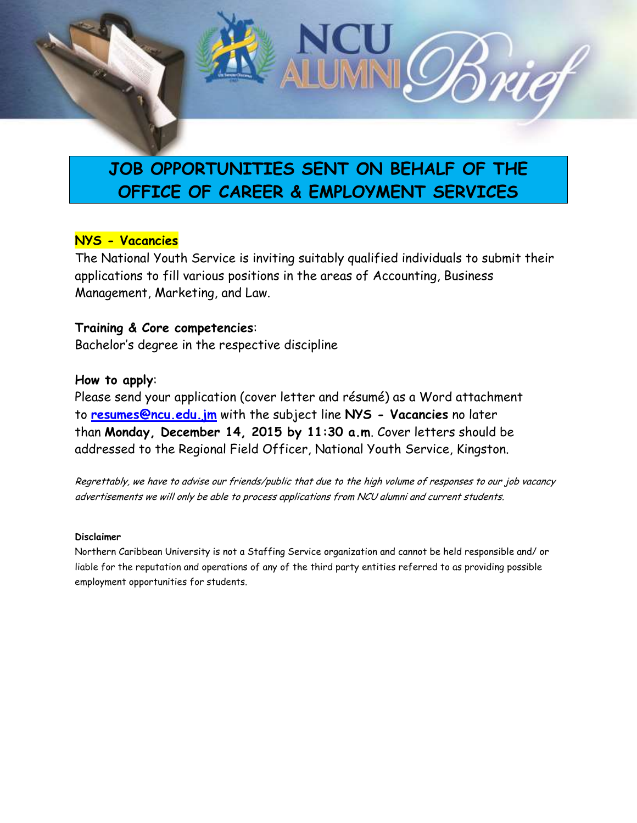

# **JOB OPPORTUNITIES SENT ON BEHALF OF THE OFFICE OF CAREER & EMPLOYMENT SERVICES**

### **NYS - Vacancies**

The National Youth Service is inviting suitably qualified individuals to submit their applications to fill various positions in the areas of Accounting, Business Management, Marketing, and Law.

### **Training & Core competencies**: Bachelor's degree in the respective discipline

#### **How to apply**:

Please send your application (cover letter and résumé) as a Word attachment to **[resumes@ncu.edu.jm](mailto:resumes@ncu.edu.jm)** with the subject line **NYS - Vacancies** no later than **Monday, December 14, 2015 by 11:30 a.m**. Cover letters should be addressed to the Regional Field Officer, National Youth Service, Kingston.

Regrettably, we have to advise our friends/public that due to the high volume of responses to our job vacancy advertisements we will only be able to process applications from NCU alumni and current students.

#### **Disclaimer**

Northern Caribbean University is not a Staffing Service organization and cannot be held responsible and/ or liable for the reputation and operations of any of the third party entities referred to as providing possible employment opportunities for students.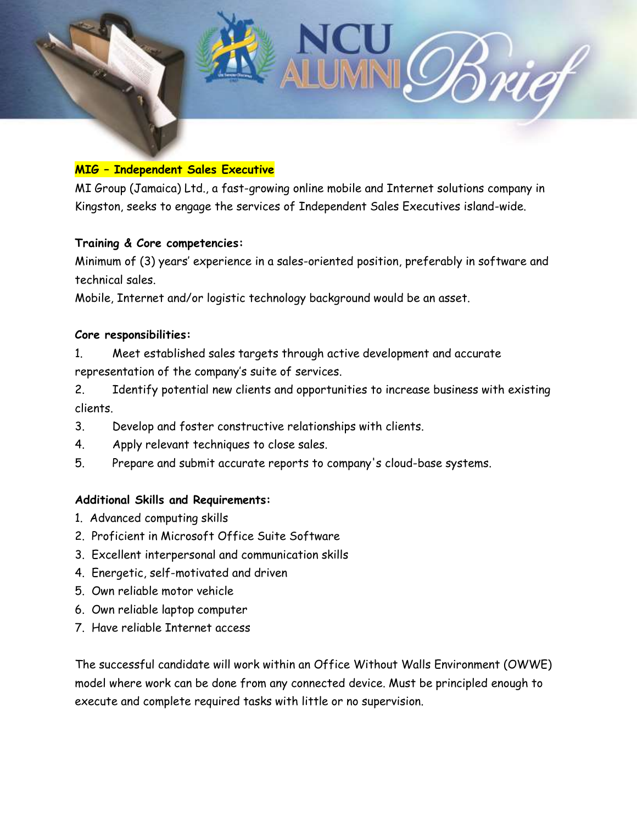

#### **MIG – Independent Sales Executive**

MI Group (Jamaica) Ltd., a fast-growing online mobile and Internet solutions company in Kingston, seeks to engage the services of Independent Sales Executives island-wide.

#### **Training & Core competencies:**

Minimum of (3) years' experience in a sales-oriented position, preferably in software and technical sales.

Mobile, Internet and/or logistic technology background would be an asset.

#### **Core responsibilities:**

- 1. Meet established sales targets through active development and accurate representation of the company's suite of services.
- 2. Identify potential new clients and opportunities to increase business with existing clients.
- 3. Develop and foster constructive relationships with clients.
- 4. Apply relevant techniques to close sales.
- 5. Prepare and submit accurate reports to company's cloud-base systems.

### **Additional Skills and Requirements:**

- 1. Advanced computing skills
- 2. Proficient in Microsoft Office Suite Software
- 3. Excellent interpersonal and communication skills
- 4. Energetic, self-motivated and driven
- 5. Own reliable motor vehicle
- 6. Own reliable laptop computer
- 7. Have reliable Internet access

The successful candidate will work within an Office Without Walls Environment (OWWE) model where work can be done from any connected device. Must be principled enough to execute and complete required tasks with little or no supervision.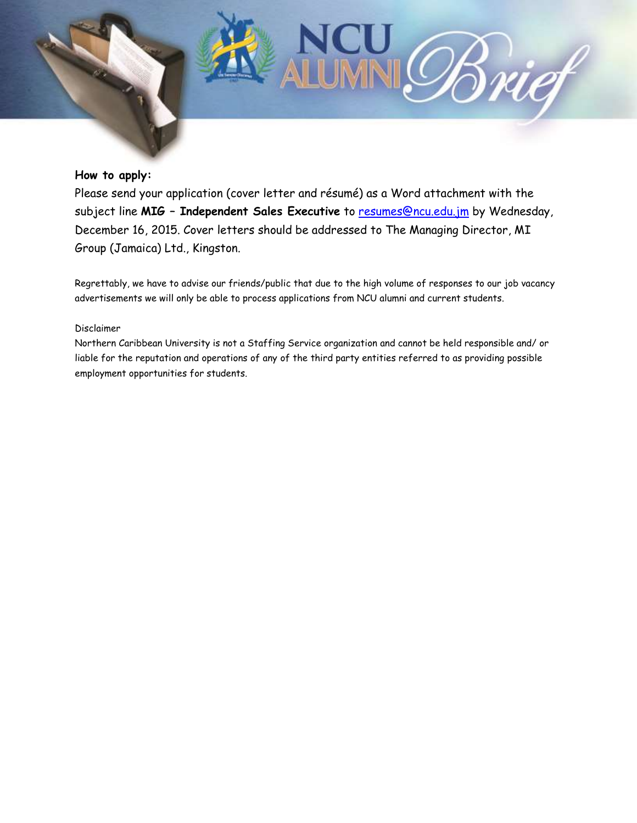#### **How to apply:**

Please send your application (cover letter and résumé) as a Word attachment with the subject line **MIG – Independent Sales Executive** to [resumes@ncu.edu.jm](mailto:resumes@ncu.edu.jm) by Wednesday, December 16, 2015. Cover letters should be addressed to The Managing Director, MI Group (Jamaica) Ltd., Kingston.

Regrettably, we have to advise our friends/public that due to the high volume of responses to our job vacancy advertisements we will only be able to process applications from NCU alumni and current students.

#### Disclaimer

Northern Caribbean University is not a Staffing Service organization and cannot be held responsible and/ or liable for the reputation and operations of any of the third party entities referred to as providing possible employment opportunities for students.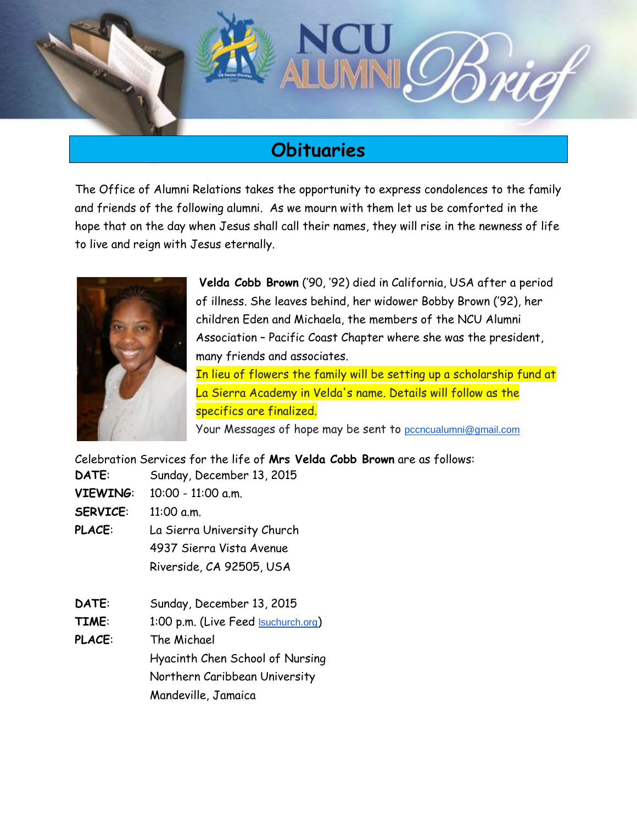

# **Obituaries**

The Office of Alumni Relations takes the opportunity to express condolences to the family and friends of the following alumni. As we mourn with them let us be comforted in the hope that on the day when Jesus shall call their names, they will rise in the newness of life to live and reign with Jesus eternally.



**Velda Cobb Brown** ('90, '92) died in California, USA after a period of illness. She leaves behind, her widower Bobby Brown ('92), her children Eden and Michaela, the members of the NCU Alumni Association – Pacific Coast Chapter where she was the president, many friends and associates.

In lieu of flowers the family will be setting up a scholarship fund at La Sierra Academy in Velda's name. Details will follow as the specifics are finalized.

Your Messages of hope may be sent to [pccncualumni@gmail.com](mailto:pccncualumni@gmail.com)

Celebration Services for the life of **Mrs Velda Cobb Brown** are as follows:

**DATE**: Sunday, December 13, 2015 **VIEWING**: 10:00 - 11:00 a.m.

**SERVICE**: 11:00 a.m.

**PLACE**: La Sierra University Church 4937 Sierra Vista Avenue Riverside, CA 92505, USA

- **DATE**: Sunday, December 13, 2015
- **TIME**: 1:00 p.m. (Live Feed [lsuchurch.org](http://lsuchurch.org/))
- **PLACE**: The Michael

Hyacinth Chen School of Nursing Northern Caribbean University Mandeville, Jamaica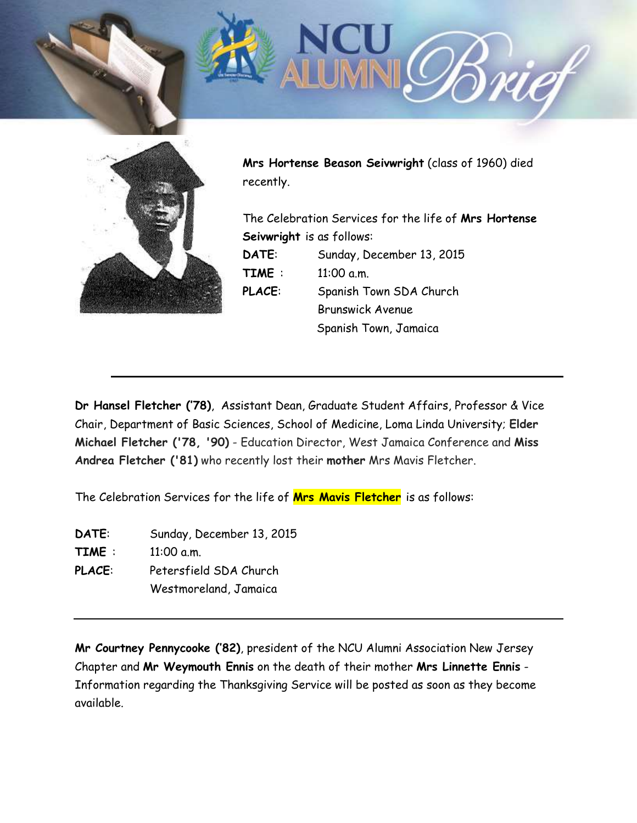

**Mrs Hortense Beason Seivwright** (class of 1960) died recently.

The Celebration Services for the life of **Mrs Hortense Seivwright** is as follows: **DATE**: Sunday, December 13, 2015 **TIME** : 11:00 a.m. **PLACE**: Spanish Town SDA Church Brunswick Avenue Spanish Town, Jamaica

**Dr Hansel Fletcher ('78)**, Assistant Dean, Graduate Student Affairs, Professor & Vice Chair, Department of Basic Sciences, School of Medicine, Loma Linda University; **Elder Michael Fletcher ('78, '90)** - Education Director, West Jamaica Conference and **Miss Andrea Fletcher ('81)** who recently lost their **mother** Mrs Mavis Fletcher.

The Celebration Services for the life of **Mrs Mavis Fletcher** is as follows:

**DATE**: Sunday, December 13, 2015 **TIME** : 11:00 a.m. **PLACE**: Petersfield SDA Church Westmoreland, Jamaica

**Mr Courtney Pennycooke ('82)**, president of the NCU Alumni Association New Jersey Chapter and **Mr Weymouth Ennis** on the death of their mother **Mrs Linnette Ennis** - Information regarding the Thanksgiving Service will be posted as soon as they become available.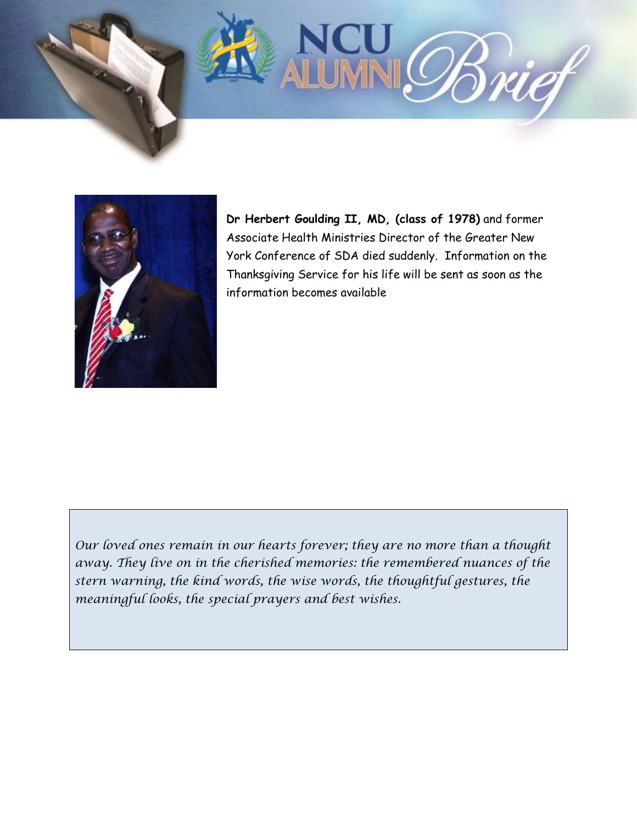



**Dr Herbert Goulding II, MD, (class of 1978)** and former Associate Health Ministries Director of the Greater New York Conference of SDA died suddenly. Information on the Thanksgiving Service for his life will be sent as soon as the information becomes available

*Our loved ones remain in our hearts forever; they are no more than a thought away. They live on in the cherished memories: the remembered nuances of the stern warning, the kind words, the wise words, the thoughtful gestures, the meaningful looks, the special prayers and best wishes.*